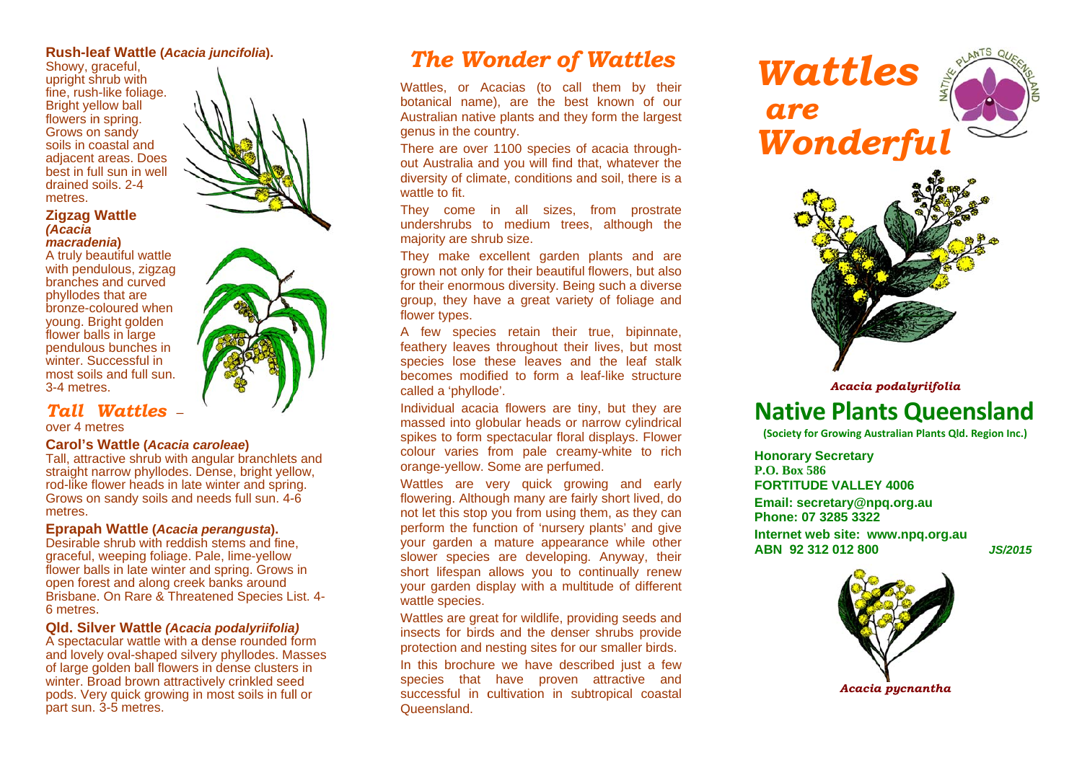### **Rush-leaf Wattle (***Acaci ia juncifolia***).**

 Showy, g raceful, upright sh hrub with fine, rush -like foliage. Bright yellow ball flowers in spring. Grows on sandy soils in coastal and adjacent areas. Does best in full sun in well drained soils. 2-4 metres.

### **Zigzag W Wattle** *(Acacia*

### *macradeenia***)**

A truly b e eautiful wattle with pendulous, zigzag branches s and curved phyllodes s that are bronze-coloured when young. Bright golden flower ba lls in large pendulou s bunches in winter. Successful in most soils and full sun.  $\,$ 3-4 metrees.

## *Tall Wattles* –

over 4 metres

#### **Carol's WWattle (***Acacia ccarolea<sup>e</sup>***)**

 Tall, attr a straight n arrow phyllodes. Dense, bright yell low, rod-like flower heads in late winter and spring. Grows on sandy soils and needs full sun. 4-6 metres. active shrub with a angular branchlets and

#### **Eprapa h h Wattle (***Acacia a peran gusta***).**

Desirable shrub with reddish stems and fine, graceful, weeping foliage. Pale, lime-yellow flower balls in late winter and spring. Grows in open forest and along creek banks around Brisbane. On Rare & Threatened Species List. 4-6 metres..

### QId. Silver Wattle *(Acacia podalyriifolia)*

A spectacular wattle with a dense rounded form and lovely oval-shaped silvery phyllodes. Masses of large g golden ball flowers s in dense clusters s in winter. Broad brown attractively crinkled seed pods. Very quick growing in most soils in full or part sun. 3-5 metres.



# *The Wo onder of Wattles*

Wattles, or A Acacias (to call them by their botanical name), are the best known of our Australian native plants and they form the largest genus in the country.

There are over 1100 species of acacia throughout Australia and you will find that, whatever the diversity of climate, conditions and soil, there is a wattle to fit.

They come in all sizes, from prostrate undershrubs to medium trees, although the majority are shrub size.

They make excellent garden plants and are grown not only for their beautiful flowers, but also for their enormous diversity. Being such a diverse group, they have a great variety of foliage and flower types.

A few species retain their true, bipinnate, feathery leaves throughout their lives, but most species lose these leaves and the leaf stalk becomes modified to form a leaf-like structure called a 'phyllode'.

Individual acacia flowers are tiny, but they are massed into globular heads or narrow cylindrical spikes to form spectacular floral displays. Flower colour varies from pale creamy-white to rich orange-yellow. S Some are perfum ed.

Wattles are very quick growing and early flowering. Although many are fairly short lived, do not let this stop you from using them, as they can perform the function of 'nursery plants' and give your garden a mature appear a ance while other slower species s are developin g . Anyway, their short lifespan allows you to continually renew your garden display with a multitude of different wattle species.

Wattles are great for wildlife, providing seeds and insects for birds and the denser shrubs provide protection and nesting sites for our smaller birds. In this brochure we have described just a few species that have proven attractive and successful in cultivation in subtropical coastal Queensland.

*WWattl e es aW Wond e erful are* 



*Acacia p podalyriifolia* 

# **Native Plants Queensland**

**(Soc ciety for Growing Aus stralian Plants Qld. Re egion Inc.)** 

**Hon o orary Secretary P.O. Box 586 FORTTITUDE VALLEYY 4006 Ema il: secretary@n p pq.org.au Phonne: 07 3285 3322**

**Inter rnet web site: w w ww.npq.org.au ABN 92 312 012 800**

*JS/2015*



*Acaci a a pycnantha*